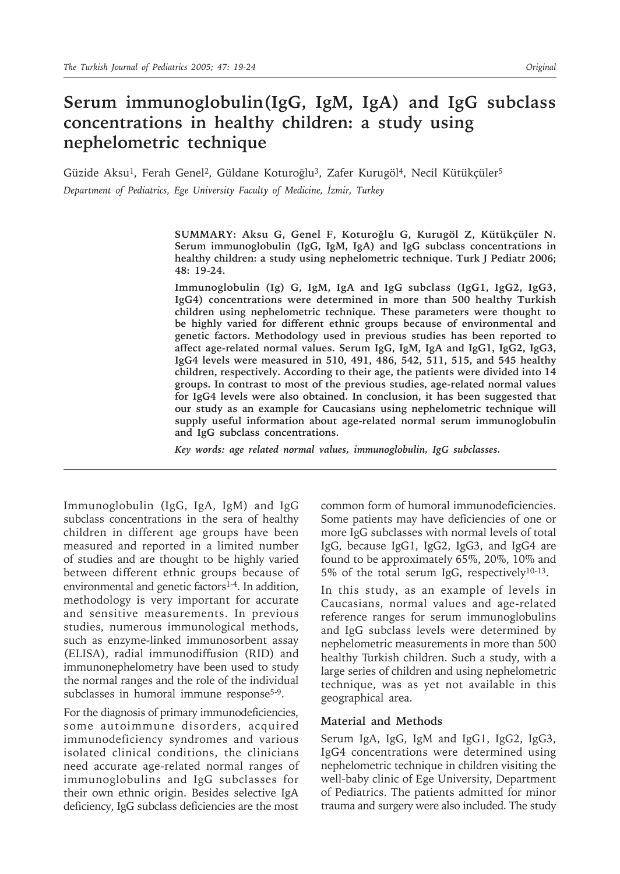# **Serum immunoglobulin(IgG, IgM, IgA) and IgG subclass concentrations in healthy children: a study using nephelometric technique**

Güzide Aksu<sup>1</sup>, Ferah Genel<sup>2</sup>, Güldane Koturoğlu<sup>3</sup>, Zafer Kurugöl<sup>4</sup>, Necil Kütükçüler<sup>5</sup> *Department of Pediatrics, Ege University Faculty of Medicine, İzmir, Turkey*

> **SUMMARY: Aksu G, Genel F, Koturoğlu G, Kurugöl Z, Kütükçüler N. Serum immunoglobulin (IgG, IgM, IgA) and IgG subclass concentrations in healthy children: a study using nephelometric technique. Turk J Pediatr 2006; 48: 19-24.**

> **Immunoglobulin (Ig) G, IgM, IgA and IgG subclass (IgG1, IgG2, IgG3, IgG4) concentrations were determined in more than 500 healthy Turkish children using nephelometric technique. These parameters were thought to be highly varied for different ethnic groups because of environmental and genetic factors. Methodology used in previous studies has been reported to affect age-related normal values. Serum IgG, IgM, IgA and IgG1, IgG2, IgG3, IgG4 levels were measured in 510, 491, 486, 542, 511, 515, and 545 healthy children, respectively. According to their age, the patients were divided into 14 groups. In contrast to most of the previous studies, age-related normal values for IgG4 levels were also obtained. In conclusion, it has been suggested that our study as an example for Caucasians using nephelometric technique will supply useful information about age-related normal serum immunoglobulin and IgG subclass concentrations.**

*Key words: age related normal values, immunoglobulin, IgG subclasses.*

Immunoglobulin (IgG, IgA, IgM) and IgG subclass concentrations in the sera of healthy children in different age groups have been measured and reported in a limited number of studies and are thought to be highly varied between different ethnic groups because of environmental and genetic factors $1-4$ . In addition, methodology is very important for accurate and sensitive measurements. In previous studies, numerous immunological methods, such as enzyme-linked immunosorbent assay (ELISA), radial immunodiffusion (RID) and immunonephelometry have been used to study the normal ranges and the role of the individual subclasses in humoral immune response<sup>5-9</sup>.

For the diagnosis of primary immunodeficiencies, some autoimmune disorders, acquired immunodeficiency syndromes and various isolated clinical conditions, the clinicians need accurate age-related normal ranges of immunoglobulins and IgG subclasses for their own ethnic origin. Besides selective IgA deficiency, IgG subclass deficiencies are the most

common form of humoral immunodeficiencies. Some patients may have deficiencies of one or more IgG subclasses with normal levels of total IgG, because IgG1, IgG2, IgG3, and IgG4 are found to be approximately 65%, 20%, 10% and 5% of the total serum IgG, respectively10-13.

In this study, as an example of levels in Caucasians, normal values and age-related reference ranges for serum immunoglobulins and IgG subclass levels were determined by nephelometric measurements in more than 500 healthy Turkish children. Such a study, with a large series of children and using nephelometric technique, was as yet not available in this geographical area.

### **Material and Methods**

Serum IgA, IgG, IgM and IgG1, IgG2, IgG3, IgG4 concentrations were determined using nephelometric technique in children visiting the well-baby clinic of Ege University, Department of Pediatrics. The patients admitted for minor trauma and surgery were also included. The study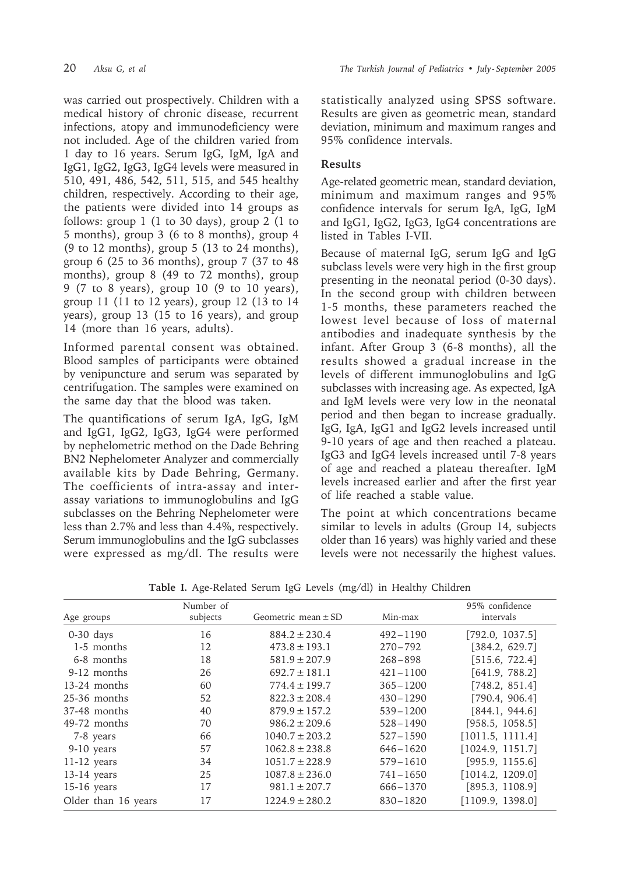was carried out prospectively. Children with a medical history of chronic disease, recurrent infections, atopy and immunodeficiency were not included. Age of the children varied from 1 day to 16 years. Serum IgG, IgM, IgA and IgG1, IgG2, IgG3, IgG4 levels were measured in 510, 491, 486, 542, 511, 515, and 545 healthy children, respectively. According to their age, the patients were divided into 14 groups as follows: group 1 (1 to 30 days), group 2 (1 to 5 months), group 3 (6 to 8 months), group 4 (9 to 12 months), group 5 (13 to 24 months), group 6 (25 to 36 months), group 7 (37 to 48 months), group 8 (49 to 72 months), group 9 (7 to 8 years), group 10 (9 to 10 years), group 11 (11 to 12 years), group 12 (13 to 14 years), group 13 (15 to 16 years), and group 14 (more than 16 years, adults).

Informed parental consent was obtained. Blood samples of participants were obtained by venipuncture and serum was separated by centrifugation. The samples were examined on the same day that the blood was taken.

The quantifications of serum IgA, IgG, IgM and IgG1, IgG2, IgG3, IgG4 were performed by nephelometric method on the Dade Behring BN2 Nephelometer Analyzer and commercially available kits by Dade Behring, Germany. The coefficients of intra-assay and interassay variations to immunoglobulins and IgG subclasses on the Behring Nephelometer were less than 2.7% and less than 4.4%, respectively. Serum immunoglobulins and the IgG subclasses were expressed as mg/dl. The results were statistically analyzed using SPSS software. Results are given as geometric mean, standard deviation, minimum and maximum ranges and 95% confidence intervals.

# **Results**

Age-related geometric mean, standard deviation, minimum and maximum ranges and 95% confidence intervals for serum IgA, IgG, IgM and IgG1, IgG2, IgG3, IgG4 concentrations are listed in Tables I-VII.

Because of maternal IgG, serum IgG and IgG subclass levels were very high in the first group presenting in the neonatal period (0-30 days). In the second group with children between 1-5 months, these parameters reached the lowest level because of loss of maternal antibodies and inadequate synthesis by the infant. After Group 3 (6-8 months), all the results showed a gradual increase in the levels of different immunoglobulins and IgG subclasses with increasing age. As expected, IgA and IgM levels were very low in the neonatal period and then began to increase gradually. IgG, IgA, IgG1 and IgG2 levels increased until 9-10 years of age and then reached a plateau. IgG3 and IgG4 levels increased until 7-8 years of age and reached a plateau thereafter. IgM levels increased earlier and after the first year of life reached a stable value.

The point at which concentrations became similar to levels in adults (Group 14, subjects older than 16 years) was highly varied and these levels were not necessarily the highest values.

| Table I. Age-Related Serum IgG Levels (mg/dl) in Healthy Children |  |  |  |
|-------------------------------------------------------------------|--|--|--|
|-------------------------------------------------------------------|--|--|--|

|                     | Number of |                         |              | 95% confidence   |
|---------------------|-----------|-------------------------|--------------|------------------|
| Age groups          | subjects  | Geometric mean $\pm$ SD | Min-max      | intervals        |
| $0-30$ days         | 16        | $884.2 \pm 230.4$       | $492 - 1190$ | [792.0, 1037.5]  |
| 1-5 months          | 12        | $473.8 \pm 193.1$       | $270 - 792$  | [384.2, 629.7]   |
| 6-8 months          | 18        | $581.9 \pm 207.9$       | $268 - 898$  | [515.6, 722.4]   |
| 9-12 months         | 26        | $692.7 \pm 181.1$       | $421 - 1100$ | [641.9, 788.2]   |
| 13-24 months        | 60        | $774.4 \pm 199.7$       | $365 - 1200$ | [748.2, 851.4]   |
| $25-36$ months      | 52        | $822.3 \pm 208.4$       | $430 - 1290$ | [790.4, 906.4]   |
| 37-48 months        | 40        | $879.9 \pm 157.2$       | $539 - 1200$ | [844.1, 944.6]   |
| 49-72 months        | 70        | $986.2 \pm 209.6$       | $528 - 1490$ | [958.5, 1058.5]  |
| 7-8 years           | 66        | $1040.7 \pm 203.2$      | $527 - 1590$ | [1011.5, 1111.4] |
| 9-10 years          | 57        | $1062.8 \pm 238.8$      | $646 - 1620$ | [1024.9, 1151.7] |
| $11-12$ years       | 34        | $1051.7 \pm 228.9$      | $579 - 1610$ | [995.9, 1155.6]  |
| $13-14$ years       | 25        | $1087.8 \pm 236.0$      | $741 - 1650$ | [1014.2, 1209.0] |
| $15-16$ years       | 17        | $981.1 \pm 207.7$       | $666 - 1370$ | [895.3, 1108.9]  |
| Older than 16 years | 17        | $1224.9 \pm 280.2$      | $830 - 1820$ | [1109.9, 1398.0] |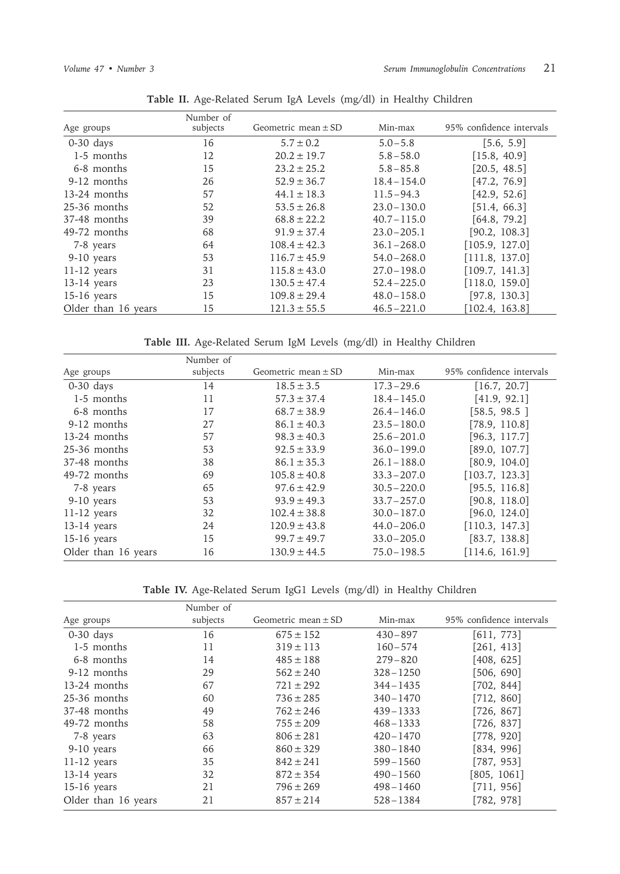|                     | Number of |                         |                |                          |
|---------------------|-----------|-------------------------|----------------|--------------------------|
| Age groups          | subjects  | Geometric mean $\pm$ SD | Min-max        | 95% confidence intervals |
| $0-30$ days         | 16        | $5.7 \pm 0.2$           | $5.0 - 5.8$    | [5.6, 5.9]               |
| 1-5 months          | 12        | $20.2 \pm 19.7$         | $5.8 - 58.0$   | [15.8, 40.9]             |
| 6-8 months          | 15        | $23.2 \pm 25.2$         | $5.8 - 85.8$   | [20.5, 48.5]             |
| 9-12 months         | 26        | $52.9 \pm 36.7$         | $18.4 - 154.0$ | [47.2, 76.9]             |
| 13-24 months        | 57        | $44.1 \pm 18.3$         | $11.5 - 94.3$  | [42.9, 52.6]             |
| $25-36$ months      | 52        | $53.5 \pm 26.8$         | $23.0 - 130.0$ | [51.4, 66.3]             |
| 37-48 months        | 39        | $68.8 \pm 22.2$         | $40.7 - 115.0$ | [64.8, 79.2]             |
| 49-72 months        | 68        | $91.9 \pm 37.4$         | $23.0 - 205.1$ | [90.2, 108.3]            |
| 7-8 years           | 64        | $108.4 \pm 42.3$        | $36.1 - 268.0$ | [105.9, 127.0]           |
| 9-10 years          | 53        | $116.7 \pm 45.9$        | $54.0 - 268.0$ | [111.8, 137.0]           |
| $11-12$ years       | 31        | $115.8 \pm 43.0$        | $27.0 - 198.0$ | [109.7, 141.3]           |
| $13-14$ years       | 23        | $130.5 \pm 47.4$        | $52.4 - 225.0$ | [118.0, 159.0]           |
| $15-16$ years       | 15        | $109.8 \pm 29.4$        | $48.0 - 158.0$ | [97.8, 130.3]            |
| Older than 16 years | 15        | $121.3 \pm 55.5$        | $46.5 - 221.0$ | [102.4, 163.8]           |

**Table II.** Age-Related Serum IgA Levels (mg/dl) in Healthy Children

**Table III.** Age-Related Serum IgM Levels (mg/dl) in Healthy Children

|                     | Number of |                         |                |                          |
|---------------------|-----------|-------------------------|----------------|--------------------------|
| Age groups          | subjects  | Geometric mean $\pm$ SD | Min-max        | 95% confidence intervals |
| $0-30$ days         | 14        | $18.5 \pm 3.5$          | $17.3 - 29.6$  | [16.7, 20.7]             |
| 1-5 months          | 11        | $57.3 \pm 37.4$         | $18.4 - 145.0$ | [41.9, 92.1]             |
| 6-8 months          | 17        | $68.7 \pm 38.9$         | $26.4 - 146.0$ | [58.5, 98.5]             |
| 9-12 months         | 27        | $86.1 \pm 40.3$         | $23.5 - 180.0$ | [78.9, 110.8]            |
| $13-24$ months      | 57        | $98.3 \pm 40.3$         | $25.6 - 201.0$ | [96.3, 117.7]            |
| $25-36$ months      | 53        | $92.5 \pm 33.9$         | $36.0 - 199.0$ | [89.0, 107.7]            |
| 37-48 months        | 38        | $86.1 \pm 35.3$         | $26.1 - 188.0$ | [80.9, 104.0]            |
| 49-72 months        | 69        | $105.8 \pm 40.8$        | $33.3 - 207.0$ | [103.7, 123.3]           |
| 7-8 years           | 65        | $97.6 \pm 42.9$         | $30.5 - 220.0$ | [95.5, 116.8]            |
| $9-10$ years        | 53        | $93.9 \pm 49.3$         | $33.7 - 257.0$ | [90.8, 118.0]            |
| $11-12$ years       | 32        | $102.4 \pm 38.8$        | $30.0 - 187.0$ | [96.0, 124.0]            |
| $13-14$ years       | 24        | $120.9 \pm 43.8$        | $44.0 - 206.0$ | [110.3, 147.3]           |
| $15-16$ years       | 15        | $99.7 \pm 49.7$         | $33.0 - 205.0$ | [83.7, 138.8]            |
| Older than 16 years | 16        | $130.9 \pm 44.5$        | $75.0 - 198.5$ | [114.6, 161.9]           |

**Table IV.** Age-Related Serum IgG1 Levels (mg/dl) in Healthy Children

|                     | Number of |                         |              |                          |
|---------------------|-----------|-------------------------|--------------|--------------------------|
| Age groups          | subjects  | Geometric mean $\pm$ SD | Min-max      | 95% confidence intervals |
| $0-30$ days         | 16        | $675 \pm 152$           | $430 - 897$  | [611, 773]               |
| 1-5 months          | 11        | $319 \pm 113$           | $160 - 574$  | [261, 413]               |
| 6-8 months          | 14        | $485 \pm 188$           | $279 - 820$  | [408, 625]               |
| 9-12 months         | 29        | $562 \pm 240$           | $328 - 1250$ | [506, 690]               |
| $13-24$ months      | 67        | $721 \pm 292$           | $344 - 1435$ | [702, 844]               |
| $25-36$ months      | 60        | $736 \pm 285$           | $340 - 1470$ | [712, 860]               |
| 37-48 months        | 49        | $762 \pm 246$           | $439 - 1333$ | [726, 867]               |
| 49-72 months        | 58        | $755 \pm 209$           | $468 - 1333$ | [726, 837]               |
| 7-8 years           | 63        | $806 \pm 281$           | $420 - 1470$ | [778, 920]               |
| 9-10 years          | 66        | $860 \pm 329$           | $380 - 1840$ | [834, 996]               |
| $11-12$ years       | 35        | $842 \pm 241$           | $599 - 1560$ | [787, 953]               |
| $13-14$ years       | 32        | $872 \pm 354$           | $490 - 1560$ | [805, 1061]              |
| $15-16$ years       | 21        | $796 \pm 269$           | $498 - 1460$ | [711, 956]               |
| Older than 16 years | 21        | $857 \pm 214$           | $528 - 1384$ | [782, 978]               |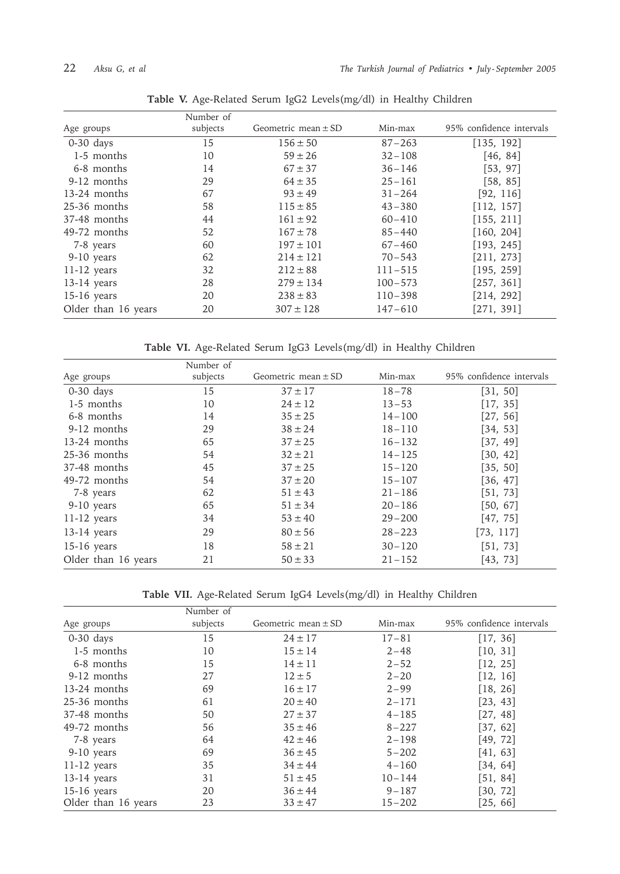|                     | Number of |                         |             |                          |
|---------------------|-----------|-------------------------|-------------|--------------------------|
| Age groups          | subjects  | Geometric mean $\pm$ SD | Min-max     | 95% confidence intervals |
| $0-30$ days         | 15        | $156 \pm 50$            | $87 - 263$  | [135, 192]               |
| 1-5 months          | 10        | $59 \pm 26$             | $32 - 108$  | [46, 84]                 |
| 6-8 months          | 14        | $67 \pm 37$             | $36 - 146$  | [53, 97]                 |
| 9-12 months         | 29        | $64 \pm 35$             | $25 - 161$  | [58, 85]                 |
| 13-24 months        | 67        | $93 \pm 49$             | $31 - 264$  | [92, 116]                |
| 25-36 months        | 58        | $115 \pm 85$            | $43 - 380$  | [112, 157]               |
| 37-48 months        | 44        | $161 \pm 92$            | $60 - 410$  | [155, 211]               |
| 49-72 months        | 52        | $167 \pm 78$            | $85 - 440$  | [160, 204]               |
| 7-8 years           | 60        | $197 \pm 101$           | $67 - 460$  | [193, 245]               |
| 9-10 years          | 62        | $214 \pm 121$           | $70 - 543$  | [211, 273]               |
| $11-12$ years       | 32        | $212 \pm 88$            | $111 - 515$ | [195, 259]               |
| 13-14 years         | 28        | $279 \pm 134$           | $100 - 573$ | [257, 361]               |
| $15-16$ years       | 20        | $238 \pm 83$            | $110 - 398$ | [214, 292]               |
| Older than 16 years | 20        | $307 \pm 128$           | $147 - 610$ | [271, 391]               |

**Table V.** Age-Related Serum IgG2 Levels(mg/dl) in Healthy Children

**Table VI.** Age-Related Serum IgG3 Levels(mg/dl) in Healthy Children

|                     | Number of |                         |            |                          |
|---------------------|-----------|-------------------------|------------|--------------------------|
| Age groups          | subjects  | Geometric mean $\pm$ SD | Min-max    | 95% confidence intervals |
| $0-30$ days         | 15        | $37 \pm 17$             | $18 - 78$  | [31, 50]                 |
| 1-5 months          | 10        | $24 \pm 12$             | $13 - 53$  | [17, 35]                 |
| 6-8 months          | 14        | $35 \pm 25$             | $14 - 100$ | [27, 56]                 |
| 9-12 months         | 29        | $38 \pm 24$             | $18 - 110$ | [34, 53]                 |
| $13-24$ months      | 65        | $37 \pm 25$             | $16 - 132$ | [37, 49]                 |
| $25-36$ months      | 54        | $32 \pm 21$             | $14 - 125$ | [30, 42]                 |
| 37-48 months        | 45        | $37 \pm 25$             | $15 - 120$ | [35, 50]                 |
| 49-72 months        | 54        | $37 \pm 20$             | $15 - 107$ | [36, 47]                 |
| 7-8 years           | 62        | $51 \pm 43$             | $21 - 186$ | [51, 73]                 |
| 9-10 years          | 65        | $51 \pm 34$             | $20 - 186$ | [50, 67]                 |
| $11-12$ years       | 34        | $53 \pm 40$             | $29 - 200$ | [47, 75]                 |
| $13-14$ years       | 29        | $80 \pm 56$             | $28 - 223$ | [73, 117]                |
| $15-16$ years       | 18        | $58 \pm 21$             | $30 - 120$ | [51, 73]                 |
| Older than 16 years | 21        | $50 \pm 33$             | $21 - 152$ | [43, 73]                 |

**Table VII.** Age-Related Serum IgG4 Levels(mg/dl) in Healthy Children

|                     | Number of |                         |            |                          |
|---------------------|-----------|-------------------------|------------|--------------------------|
| Age groups          | subjects  | Geometric mean $\pm$ SD | Min-max    | 95% confidence intervals |
| $0-30$ days         | 15        | $24 \pm 17$             | $17 - 81$  | [17, 36]                 |
| 1-5 months          | 10        | $15 \pm 14$             | $2 - 48$   | [10, 31]                 |
| 6-8 months          | 15        | $14 \pm 11$             | $2 - 52$   | [12, 25]                 |
| 9-12 months         | 27        | $12 \pm 5$              | $2 - 20$   | [12, 16]                 |
| 13-24 months        | 69        | $16 \pm 17$             | $2 - 99$   | [18, 26]                 |
| $25-36$ months      | 61        | $20 \pm 40$             | $2 - 171$  | [23, 43]                 |
| 37-48 months        | 50        | $27 \pm 37$             | $4 - 185$  | [27, 48]                 |
| 49-72 months        | 56        | $35 \pm 46$             | $8 - 227$  | [37, 62]                 |
| 7-8 years           | 64        | $42 \pm 46$             | $2 - 198$  | [49, 72]                 |
| 9-10 years          | 69        | $36 \pm 45$             | $5 - 202$  | [41, 63]                 |
| $11-12$ years       | 35        | $34 \pm 44$             | $4 - 160$  | [34, 64]                 |
| $13-14$ years       | 31        | $51 \pm 45$             | $10 - 144$ | [51, 84]                 |
| $15-16$ years       | 20        | $36 \pm 44$             | $9 - 187$  | [30, 72]                 |
| Older than 16 years | 23        | $33 \pm 47$             | $15 - 202$ | [25, 66]                 |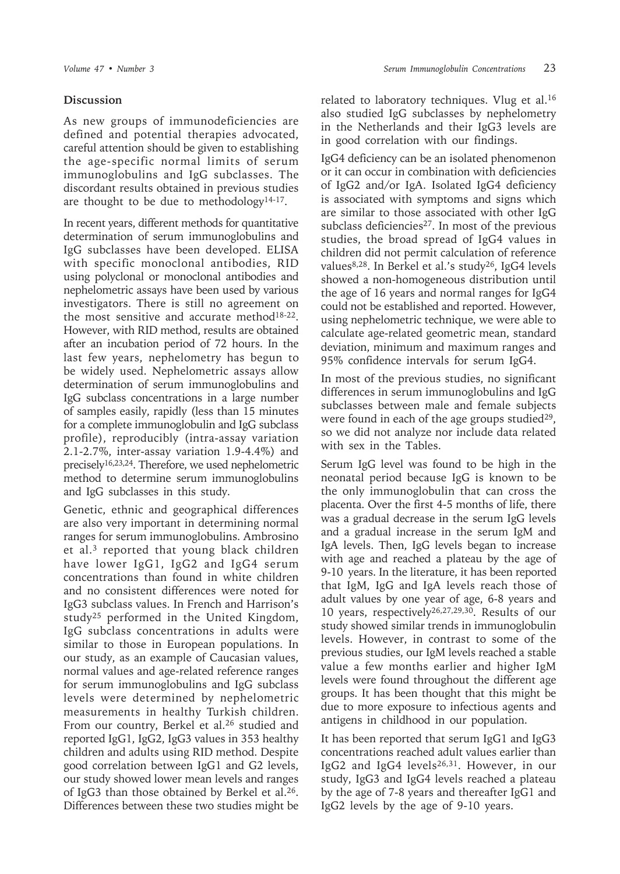## **Discussion**

As new groups of immunodeficiencies are defined and potential therapies advocated, careful attention should be given to establishing the age-specific normal limits of serum immunoglobulins and IgG subclasses. The discordant results obtained in previous studies are thought to be due to methodology<sup>14-17</sup>.

In recent years, different methods for quantitative determination of serum immunoglobulins and IgG subclasses have been developed. ELISA with specific monoclonal antibodies, RID using polyclonal or monoclonal antibodies and nephelometric assays have been used by various investigators. There is still no agreement on the most sensitive and accurate method<sup>18-22</sup>. However, with RID method, results are obtained after an incubation period of 72 hours. In the last few years, nephelometry has begun to be widely used. Nephelometric assays allow determination of serum immunoglobulins and IgG subclass concentrations in a large number of samples easily, rapidly (less than 15 minutes for a complete immunoglobulin and IgG subclass profile), reproducibly (intra-assay variation 2.1-2.7%, inter-assay variation 1.9-4.4%) and precisely16,23,24. Therefore, we used nephelometric method to determine serum immunoglobulins and IgG subclasses in this study.

Genetic, ethnic and geographical differences are also very important in determining normal ranges for serum immunoglobulins. Ambrosino et al.3 reported that young black children have lower IgG1, IgG2 and IgG4 serum concentrations than found in white children and no consistent differences were noted for IgG3 subclass values. In French and Harrison's study25 performed in the United Kingdom, IgG subclass concentrations in adults were similar to those in European populations. In our study, as an example of Caucasian values, normal values and age-related reference ranges for serum immunoglobulins and IgG subclass levels were determined by nephelometric measurements in healthy Turkish children. From our country, Berkel et al.<sup>26</sup> studied and reported IgG1, IgG2, IgG3 values in 353 healthy children and adults using RID method. Despite good correlation between IgG1 and G2 levels, our study showed lower mean levels and ranges of IgG3 than those obtained by Berkel et al.26. Differences between these two studies might be

related to laboratory techniques. Vlug et al.16 also studied IgG subclasses by nephelometry in the Netherlands and their IgG3 levels are in good correlation with our findings.

IgG4 deficiency can be an isolated phenomenon or it can occur in combination with deficiencies of IgG2 and/or IgA. Isolated IgG4 deficiency is associated with symptoms and signs which are similar to those associated with other IgG subclass deficiencies<sup>27</sup>. In most of the previous studies, the broad spread of IgG4 values in children did not permit calculation of reference values<sup>8,28</sup>. In Berkel et al.'s study<sup>26</sup>, IgG4 levels showed a non-homogeneous distribution until the age of 16 years and normal ranges for IgG4 could not be established and reported. However, using nephelometric technique, we were able to calculate age-related geometric mean, standard deviation, minimum and maximum ranges and 95% confidence intervals for serum IgG4.

In most of the previous studies, no significant differences in serum immunoglobulins and IgG subclasses between male and female subjects were found in each of the age groups studied $29$ , so we did not analyze nor include data related with sex in the Tables.

Serum IgG level was found to be high in the neonatal period because IgG is known to be the only immunoglobulin that can cross the placenta. Over the first 4-5 months of life, there was a gradual decrease in the serum IgG levels and a gradual increase in the serum IgM and IgA levels. Then, IgG levels began to increase with age and reached a plateau by the age of 9-10 years. In the literature, it has been reported that IgM, IgG and IgA levels reach those of adult values by one year of age, 6-8 years and 10 years, respectively26,27,29,30. Results of our study showed similar trends in immunoglobulin levels. However, in contrast to some of the previous studies, our IgM levels reached a stable value a few months earlier and higher IgM levels were found throughout the different age groups. It has been thought that this might be due to more exposure to infectious agents and antigens in childhood in our population.

It has been reported that serum IgG1 and IgG3 concentrations reached adult values earlier than IgG2 and IgG4 levels26,31. However, in our study, IgG3 and IgG4 levels reached a plateau by the age of 7-8 years and thereafter IgG1 and IgG2 levels by the age of 9-10 years.